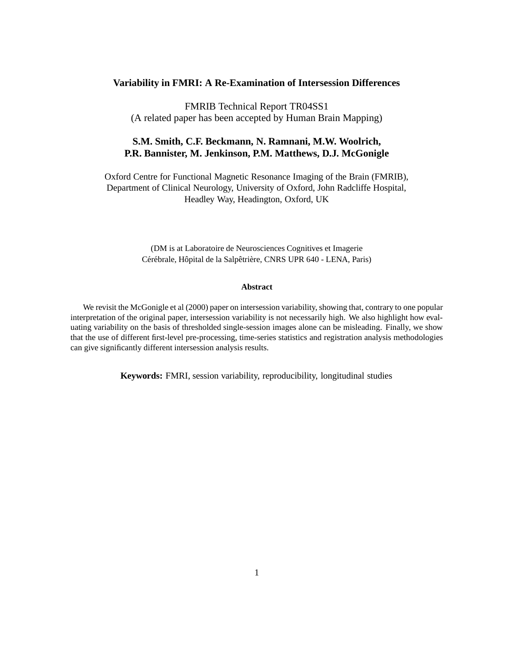#### **Variability in FMRI: A Re-Examination of Intersession Differences**

FMRIB Technical Report TR04SS1 (A related paper has been accepted by Human Brain Mapping)

#### **S.M. Smith, C.F. Beckmann, N. Ramnani, M.W. Woolrich, P.R. Bannister, M. Jenkinson, P.M. Matthews, D.J. McGonigle**

Oxford Centre for Functional Magnetic Resonance Imaging of the Brain (FMRIB), Department of Clinical Neurology, University of Oxford, John Radcliffe Hospital, Headley Way, Headington, Oxford, UK

> (DM is at Laboratoire de Neurosciences Cognitives et Imagerie Cérébrale, Hôpital de la Salpêtrière, CNRS UPR 640 - LENA, Paris)

#### **Abstract**

We revisit the McGonigle et al (2000) paper on intersession variability, showing that, contrary to one popular interpretation of the original paper, intersession variability is not necessarily high. We also highlight how evaluating variability on the basis of thresholded single-session images alone can be misleading. Finally, we show that the use of different first-level pre-processing, time-series statistics and registration analysis methodologies can give significantly different intersession analysis results.

**Keywords:** FMRI, session variability, reproducibility, longitudinal studies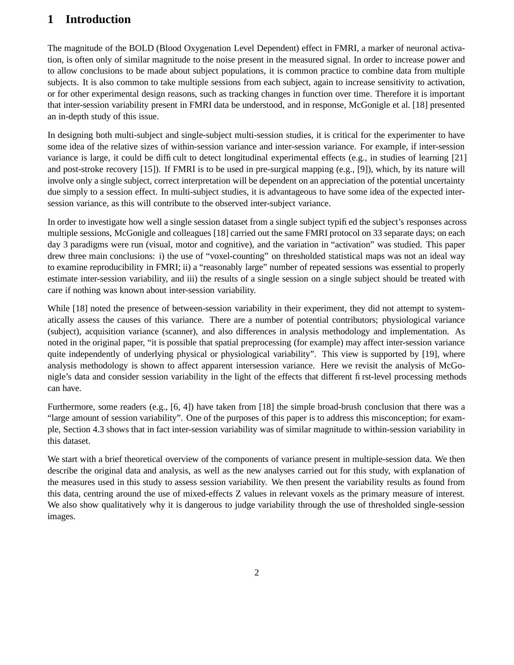# **1 Introduction**

The magnitude of the BOLD (Blood Oxygenation Level Dependent) effect in FMRI, a marker of neuronal activation, is often only of similar magnitude to the noise present in the measured signal. In order to increase power and to allow conclusions to be made about subject populations, it is common practice to combine data from multiple subjects. It is also common to take multiple sessions from each subject, again to increase sensitivity to activation, or for other experimental design reasons, such as tracking changes in function over time. Therefore it is important that inter-session variability present in FMRI data be understood, and in response, McGonigle et al. [18] presented an in-depth study of this issue.

In designing both multi-subject and single-subject multi-session studies, it is critical for the experimenter to have some idea of the relative sizes of within-session variance and inter-session variance. For example, if inter-session variance is large, it could be difficult to detect longitudinal experimental effects (e.g., in studies of learning [21] and post-stroke recovery [15]). If FMRI is to be used in pre-surgical mapping (e.g., [9]), which, by its nature will involve only a single subject, correct interpretation will be dependent on an appreciation of the potential uncertainty due simply to a session effect. In multi-subject studies, it is advantageous to have some idea of the expected intersession variance, as this will contribute to the observed inter-subject variance.

In order to investigate how well a single session dataset from a single subject typified the subject's responses across multiple sessions, McGonigle and colleagues [18] carried out the same FMRI protocol on 33 separate days; on each day 3 paradigms were run (visual, motor and cognitive), and the variation in "activation" was studied. This paper drew three main conclusions: i) the use of "voxel-counting" on thresholded statistical maps was not an ideal way to examine reproducibility in FMRI; ii) a "reasonably large" number of repeated sessions was essential to properly estimate inter-session variability, and iii) the results of a single session on a single subject should be treated with care if nothing was known about inter-session variability.

While [18] noted the presence of between-session variability in their experiment, they did not attempt to systematically assess the causes of this variance. There are a number of potential contributors; physiological variance (subject), acquisition variance (scanner), and also differences in analysis methodology and implementation. As noted in the original paper, "it is possible that spatial preprocessing (for example) may affect inter-session variance quite independently of underlying physical or physiological variability". This view is supported by [19], where analysis methodology is shown to affect apparent intersession variance. Here we revisit the analysis of McGonigle's data and consider session variability in the light of the effects that different first-level processing methods can have.

Furthermore, some readers (e.g., [6, 4]) have taken from [18] the simple broad-brush conclusion that there was a "large amount of session variability". One of the purposes of this paper is to address this misconception; for example, Section 4.3 shows that in fact inter-session variability was of similar magnitude to within-session variability in this dataset.

We start with a brief theoretical overview of the components of variance present in multiple-session data. We then describe the original data and analysis, as well as the new analyses carried out for this study, with explanation of the measures used in this study to assess session variability. We then present the variability results as found from this data, centring around the use of mixed-effects Z values in relevant voxels as the primary measure of interest. We also show qualitatively why it is dangerous to judge variability through the use of thresholded single-session images.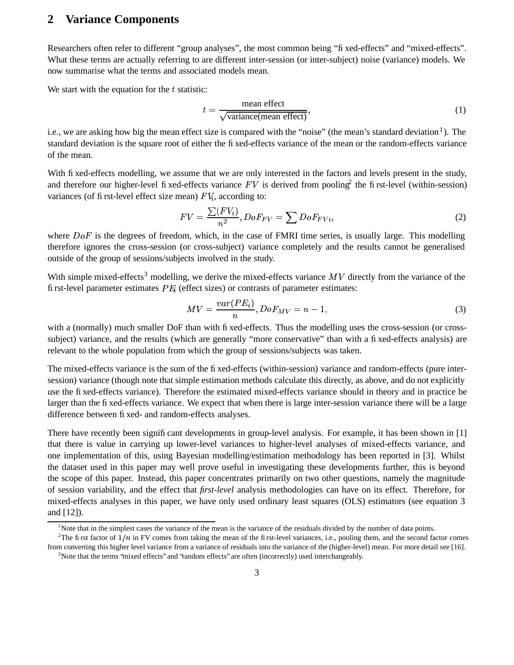# **2 Variance Components**

Researchers often refer to different "group analyses", the most common being "fixed-effects" and "mixed-effects". What these terms are actually referring to are different inter-session (or inter-subject) noise (variance) models. We now summarise what the terms and associated models mean.

We start with the equation for the  $t$  statistic:

$$
t = \frac{\text{mean effect}}{\sqrt{\text{variance}(\text{mean effect})}},\tag{1}
$$

i.e., we are asking how big the mean effect size is compared with the "noise" (the mean's standard deviation<sup>1</sup>). The standard deviation is the square root of either the fixed-effects variance of the mean or the random-effects variance of the mean.

With fixed-effects modelling, we assume that we are only interested in the factors and levels present in the study, and therefore our higher-level fixed-effects variance  $FV$  is derived from pooling<sup>2</sup> the first-level (within-session) variances (of first-level effect size mean)  $\overline{FV_i}$ , according to:

$$
FV = \frac{\sum (FV_i)}{n^2}, DoF_{FV} = \sum DoF_{FVi},
$$
\n(2)

where  $DoF$  is the degrees of freedom, which, in the case of FMRI time series, is usually large. This modelling therefore ignores the cross-session (or cross-subject) variance completely and the results cannot be generalised outside of the group of sessions/subjects involved in the study.

With simple mixed-effects<sup>3</sup> modelling, we derive the mixed-effects variance  $MV$  directly from the variance of the first-level parameter estimates  $PE_i$  (effect sizes) or contrasts of parameter estimates:

$$
MV = \frac{var(PE_i)}{n}, DoF_{MV} = n - 1,\tag{3}
$$

with a (normally) much smaller DoF than with fixed-effects. Thus the modelling uses the cross-session (or crosssubject) variance, and the results (which are generally "more conservative" than with a fixed-effects analysis) are relevant to the whole population from which the group of sessions/subjects was taken.

The mixed-effects variance is the sum of the fixed-effects (within-session) variance and random-effects (pure intersession) variance (though note that simple estimation methods calculate this directly, as above, and do not explicitly use the fixed-effects variance). Therefore the estimated mixed-effects variance should in theory and in practice be larger than the fixed-effects variance. We expect that when there is large inter-session variance there will be a large difference between fixed- and random-effects analyses.

There have recently been significant developments in group-level analysis. For example, it has been shown in [1] that there is value in carrying up lower-level variances to higher-level analyses of mixed-effects variance, and one implementation of this, using Bayesian modelling/estimation methodology has been reported in [3]. Whilst the dataset used in this paper may well prove useful in investigating these developments further, this is beyond the scope of this paper. Instead, this paper concentrates primarily on two other questions, namely the magnitude of session variability, and the effect that *first-level* analysis methodologies can have on its effect. Therefore, for mixed-effects analyses in this paper, we have only used ordinary least squares (OLS) estimators (see equation 3 and [12]).

<sup>&</sup>lt;sup>1</sup>Note that in the simplest cases the variance of the mean is the variance of the residuals divided by the number of data points.

<sup>&</sup>lt;sup>2</sup>The first factor of  $1/n$  in FV comes from taking the mean of the first-level variances, i.e., pooling them, and the second factor comes from converting this higher level variance from a variance of residuals into the variance of the (higher-level) mean. For more detail see [16].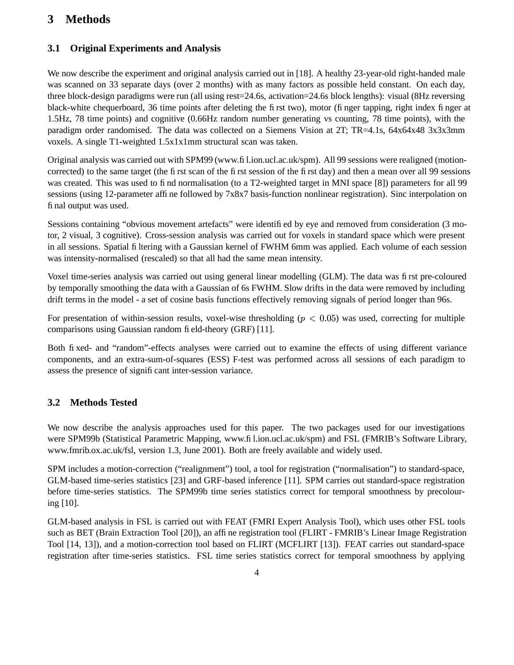# **3 Methods**

### **3.1 Original Experiments and Analysis**

We now describe the experiment and original analysis carried out in [18]. A healthy 23-year-old right-handed male was scanned on 33 separate days (over 2 months) with as many factors as possible held constant. On each day, three block-design paradigms were run (all using rest=24.6s, activation=24.6s block lengths): visual (8Hz reversing black-white chequerboard, 36 time points after deleting the first two), motor (finger tapping, right index finger at 1.5Hz, 78 time points) and cognitive (0.66Hz random number generating vs counting, 78 time points), with the paradigm order randomised. The data was collected on a Siemens Vision at 2T; TR=4.1s, 64x64x48 3x3x3mm voxels. A single T1-weighted 1.5x1x1mm structural scan was taken.

Original analysis was carried out with SPM99 (www.fil.ion.ucl.ac.uk/spm). All 99 sessions were realigned (motioncorrected) to the same target (the first scan of the first session of the first day) and then a mean over all 99 sessions was created. This was used to find normalisation (to a T2-weighted target in MNI space [8]) parameters for all 99 sessions (using 12-parameter affine followed by 7x8x7 basis-function nonlinear registration). Sinc interpolation on final output was used.

Sessions containing "obvious movement artefacts" were identified by eye and removed from consideration (3 motor, 2 visual, 3 cognitive). Cross-session analysis was carried out for voxels in standard space which were present in all sessions. Spatial filtering with a Gaussian kernel of FWHM 6mm was applied. Each volume of each session was intensity-normalised (rescaled) so that all had the same mean intensity.

Voxel time-series analysis was carried out using general linear modelling (GLM). The data was first pre-coloured by temporally smoothing the data with a Gaussian of 6s FWHM. Slow drifts in the data were removed by including drift terms in the model - a set of cosine basis functions effectively removing signals of period longer than 96s.

For presentation of within-session results, voxel-wise thresholding ( $p < 0.05$ ) was used, correcting for multiple comparisons using Gaussian random field-theory (GRF) [11].

Both fixed- and "random"-effects analyses were carried out to examine the effects of using different variance components, and an extra-sum-of-squares (ESS) F-test was performed across all sessions of each paradigm to assess the presence of significant inter-session variance.

### **3.2 Methods Tested**

We now describe the analysis approaches used for this paper. The two packages used for our investigations were SPM99b (Statistical Parametric Mapping, www.fil.ion.ucl.ac.uk/spm) and FSL (FMRIB's Software Library, www.fmrib.ox.ac.uk/fsl, version 1.3, June 2001). Both are freely available and widely used.

SPM includes a motion-correction ("realignment") tool, a tool for registration ("normalisation") to standard-space, GLM-based time-series statistics [23] and GRF-based inference [11]. SPM carries out standard-space registration before time-series statistics. The SPM99b time series statistics correct for temporal smoothness by precolouring [10].

GLM-based analysis in FSL is carried out with FEAT (FMRI Expert Analysis Tool), which uses other FSL tools such as BET (Brain Extraction Tool [20]), an affine registration tool (FLIRT - FMRIB's Linear Image Registration Tool [14, 13]), and a motion-correction tool based on FLIRT (MCFLIRT [13]). FEAT carries out standard-space registration after time-series statistics. FSL time series statistics correct for temporal smoothness by applying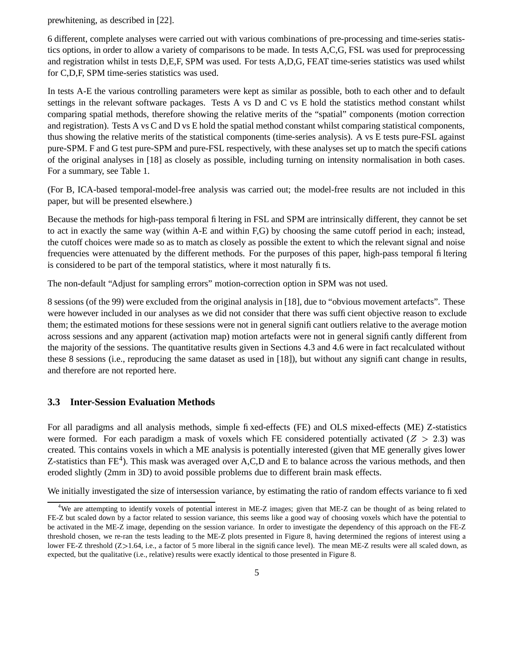prewhitening, as described in [22].

6 different, complete analyses were carried out with various combinations of pre-processing and time-series statistics options, in order to allow a variety of comparisons to be made. In tests A,C,G, FSL was used for preprocessing and registration whilst in tests D,E,F, SPM was used. For tests A,D,G, FEAT time-series statistics was used whilst for C,D,F, SPM time-series statistics was used.

In tests A-E the various controlling parameters were kept as similar as possible, both to each other and to default settings in the relevant software packages. Tests A vs D and C vs E hold the statistics method constant whilst comparing spatial methods, therefore showing the relative merits of the "spatial" components (motion correction and registration). Tests A vs C and D vs E hold the spatial method constant whilst comparing statistical components, thus showing the relative merits of the statistical components (time-series analysis). A vs E tests pure-FSL against pure-SPM. F and G test pure-SPM and pure-FSL respectively, with these analyses set up to match the specifications of the original analyses in [18] as closely as possible, including turning on intensity normalisation in both cases. For a summary, see Table 1.

(For B, ICA-based temporal-model-free analysis was carried out; the model-free results are not included in this paper, but will be presented elsewhere.)

Because the methods for high-pass temporal filtering in FSL and SPM are intrinsically different, they cannot be set to act in exactly the same way (within A-E and within F,G) by choosing the same cutoff period in each; instead, the cutoff choices were made so as to match as closely as possible the extent to which the relevant signal and noise frequencies were attenuated by the different methods. For the purposes of this paper, high-pass temporal filtering is considered to be part of the temporal statistics, where it most naturally fits.

The non-default "Adjust for sampling errors" motion-correction option in SPM was not used.

8 sessions (of the 99) were excluded from the original analysis in [18], due to "obvious movement artefacts". These were however included in our analyses as we did not consider that there was sufficient objective reason to exclude them; the estimated motions for these sessions were not in general significant outliers relative to the average motion across sessions and any apparent (activation map) motion artefacts were not in general significantly different from the majority of the sessions. The quantitative results given in Sections 4.3 and 4.6 were in fact recalculated without these 8 sessions (i.e., reproducing the same dataset as used in [18]), but without any significant change in results, and therefore are not reported here.

#### **3.3 Inter-Session Evaluation Methods**

For all paradigms and all analysis methods, simple fixed-effects (FE) and OLS mixed-effects (ME) Z-statistics were formed. For each paradigm a mask of voxels which FE considered potentially activated ( $Z > 2.3$ ) was created. This contains voxels in which a ME analysis is potentially interested (given that ME generally gives lower Z-statistics than  $FE<sup>4</sup>$ ). This mask was averaged over A,C,D and E to balance across the various methods, and then eroded slightly (2mm in 3D) to avoid possible problems due to different brain mask effects.

We initially investigated the size of intersession variance, by estimating the ratio of random effects variance to fixed

<sup>&</sup>lt;sup>4</sup>We are attempting to identify voxels of potential interest in ME-Z images; given that ME-Z can be thought of as being related to FE-Z but scaled down by a factor related to session variance, this seems like a good way of choosing voxels which have the potential to be activated in the ME-Z image, depending on the session variance. In order to investigate the dependency of this approach on the FE-Z threshold chosen, we re-ran the tests leading to the ME-Z plots presented in Figure 8, having determined the regions of interest using a lower FE-Z threshold  $(Z>1.64$ , i.e., a factor of 5 more liberal in the significance level). The mean ME-Z results were all scaled down, as expected, but the qualitative (i.e., relative) results were exactly identical to those presented in Figure 8.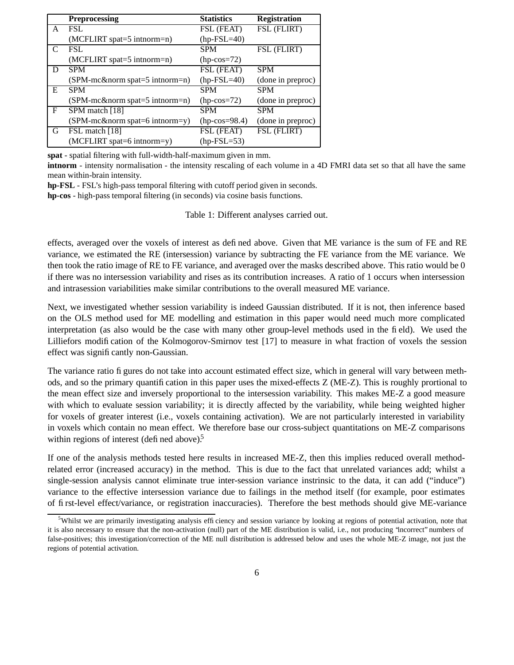|              | <b>Preprocessing</b>                | <b>Statistics</b>      | <b>Registration</b> |
|--------------|-------------------------------------|------------------------|---------------------|
| A            | <b>FSL</b>                          | FSL (FEAT)             | FSL (FLIRT)         |
|              | (MCFLIRT spat=5 intnorm=n)          | $(hp-FSL=40)$          |                     |
| C            | <b>FSL</b>                          | <b>SPM</b>             | FSL (FLIRT)         |
|              | (MCFLIRT spat=5 intnorm=n)          | $(hp\text{-}cos=72)$   |                     |
| D            | <b>SPM</b>                          | FSL (FEAT)             | <b>SPM</b>          |
|              | (SPM-mc&norm spat=5 intnorm=n)      | $(hp-FSL=40)$          | (done in preproc)   |
| E            | <b>SPM</b>                          | <b>SPM</b>             | <b>SPM</b>          |
|              | $(SPM-mc\&norm\,spat=5\,intnorm=n)$ | $(hp\text{-}\cos=72)$  | (done in preproc)   |
| $\mathbf{F}$ | SPM match [18]                      | <b>SPM</b>             | <b>SPM</b>          |
|              | $(SPM$ -mc&norm spat=6 intnorm=y)   | $(hp\text{-}cos=98.4)$ | (done in preproc)   |
| G            | FSL match [18]                      | FSL (FEAT)             | FSL (FLIRT)         |
|              | (MCFLIRT spat=6 intnorm=y)          | $(hp-FSL=53)$          |                     |

**spat** - spatial filtering with full-width-half-maximum given in mm.

**intnorm** - intensity normalisation - the intensity rescaling of each volume in a 4D FMRI data set so that all have the same mean within-brain intensity.

**hp-FSL** - FSL's high-pass temporal filtering with cutoff period given in seconds.

**hp-cos** - high-pass temporal filtering (in seconds) via cosine basis functions.

Table 1: Different analyses carried out.

effects, averaged over the voxels of interest as defined above. Given that ME variance is the sum of FE and RE variance, we estimated the RE (intersession) variance by subtracting the FE variance from the ME variance. We then took the ratio image of RE to FE variance, and averaged over the masks described above. This ratio would be 0 if there was no intersession variability and rises as its contribution increases. A ratio of 1 occurs when intersession and intrasession variabilities make similar contributions to the overall measured ME variance.

Next, we investigated whether session variability is indeed Gaussian distributed. If it is not, then inference based on the OLS method used for ME modelling and estimation in this paper would need much more complicated interpretation (as also would be the case with many other group-level methods used in the field). We used the Lilliefors modification of the Kolmogorov-Smirnov test [17] to measure in what fraction of voxels the session effect was significantly non-Gaussian.

The variance ratio figures do not take into account estimated effect size, which in general will vary between methods, and so the primary quantification in this paper uses the mixed-effects Z (ME-Z). This is roughly prortional to the mean effect size and inversely proportional to the intersession variability. This makes ME-Z a good measure with which to evaluate session variability; it is directly affected by the variability, while being weighted higher for voxels of greater interest (i.e., voxels containing activation). We are not particularly interested in variability in voxels which contain no mean effect. We therefore base our cross-subject quantitations on ME-Z comparisons within regions of interest (defined above). $5$ 

If one of the analysis methods tested here results in increased ME-Z, then this implies reduced overall methodrelated error (increased accuracy) in the method. This is due to the fact that unrelated variances add; whilst a single-session analysis cannot eliminate true inter-session variance instrinsic to the data, it can add ("induce") variance to the effective intersession variance due to failings in the method itself (for example, poor estimates of first-level effect/variance, or registration inaccuracies). Therefore the best methods should give ME-variance

<sup>&</sup>lt;sup>5</sup>Whilst we are primarily investigating analysis efficiency and session variance by looking at regions of potential activation, note that it is also necessary to ensure that the non-activation (null) part of the ME distribution is valid, i.e., not producing "incorrect" numbers of false-positives; this investigation/correction of the ME null distribution is addressed below and uses the whole ME-Z image, not just the regions of potential activation.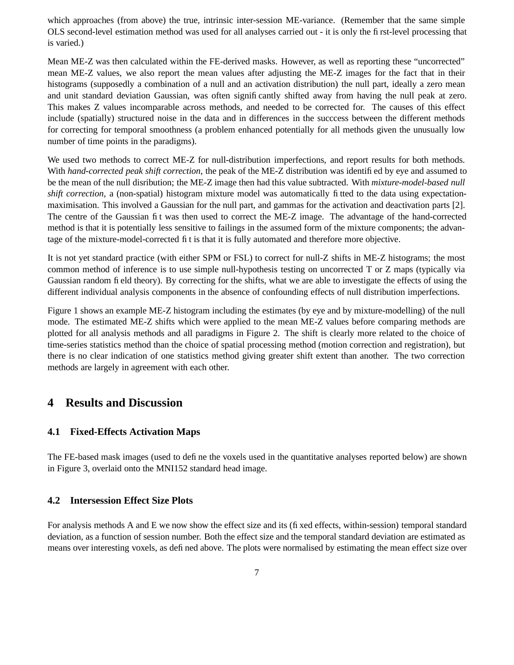which approaches (from above) the true, intrinsic inter-session ME-variance. (Remember that the same simple OLS second-level estimation method was used for all analyses carried out - it is only the first-level processing that is varied.)

Mean ME-Z was then calculated within the FE-derived masks. However, as well as reporting these "uncorrected" mean ME-Z values, we also report the mean values after adjusting the ME-Z images for the fact that in their histograms (supposedly a combination of a null and an activation distribution) the null part, ideally a zero mean and unit standard deviation Gaussian, was often significantly shifted away from having the null peak at zero. This makes Z values incomparable across methods, and needed to be corrected for. The causes of this effect include (spatially) structured noise in the data and in differences in the succcess between the different methods for correcting for temporal smoothness (a problem enhanced potentially for all methods given the unusually low number of time points in the paradigms).

We used two methods to correct ME-Z for null-distribution imperfections, and report results for both methods. With *hand-corrected peak shift correction*, the peak of the ME-Z distribution was identified by eye and assumed to be the mean of the null disribution; the ME-Z image then had this value subtracted. With *mixture-model-based null shift correction*, a (non-spatial) histogram mixture model was automatically fitted to the data using expectationmaximisation. This involved a Gaussian for the null part, and gammas for the activation and deactivation parts [2]. The centre of the Gaussian fit was then used to correct the ME-Z image. The advantage of the hand-corrected method is that it is potentially less sensitive to failings in the assumed form of the mixture components; the advantage of the mixture-model-corrected fit is that it is fully automated and therefore more objective.

It is not yet standard practice (with either SPM or FSL) to correct for null-Z shifts in ME-Z histograms; the most common method of inference is to use simple null-hypothesis testing on uncorrected T or Z maps (typically via Gaussian random field theory). By correcting for the shifts, what we are able to investigate the effects of using the different individual analysis components in the absence of confounding effects of null distribution imperfections.

Figure 1 shows an example ME-Z histogram including the estimates (by eye and by mixture-modelling) of the null mode. The estimated ME-Z shifts which were applied to the mean ME-Z values before comparing methods are plotted for all analysis methods and all paradigms in Figure 2. The shift is clearly more related to the choice of time-series statistics method than the choice of spatial processing method (motion correction and registration), but there is no clear indication of one statistics method giving greater shift extent than another. The two correction methods are largely in agreement with each other.

### **4 Results and Discussion**

#### **4.1 Fixed-Effects Activation Maps**

The FE-based mask images (used to define the voxels used in the quantitative analyses reported below) are shown in Figure 3, overlaid onto the MNI152 standard head image.

#### **4.2 Intersession Effect Size Plots**

For analysis methods A and E we now show the effect size and its (fixed effects, within-session) temporal standard deviation, as a function of session number. Both the effect size and the temporal standard deviation are estimated as means over interesting voxels, as defined above. The plots were normalised by estimating the mean effect size over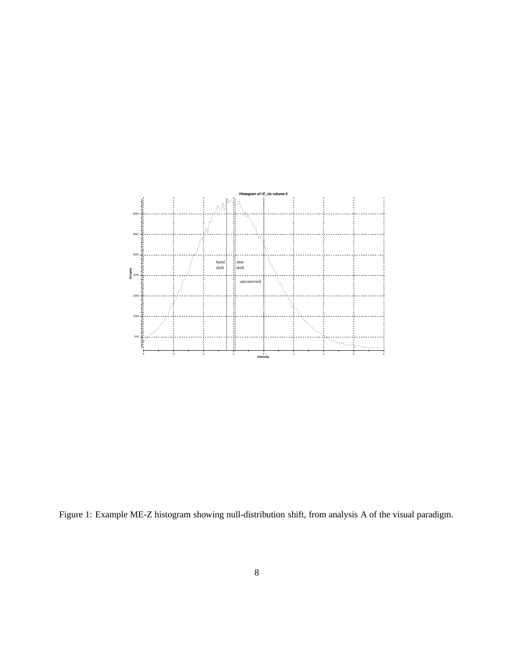

Figure 1: Example ME-Z histogram showing null-distribution shift, from analysis A of the visual paradigm.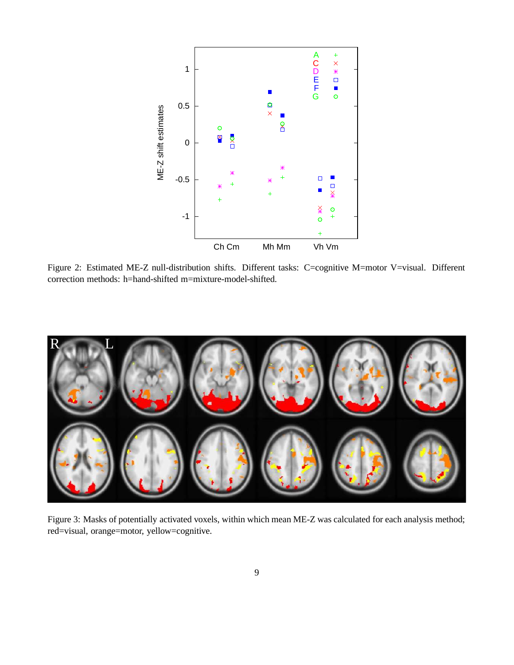

Figure 2: Estimated ME-Z null-distribution shifts. Different tasks: C=cognitive M=motor V=visual. Different correction methods: h=hand-shifted m=mixture-model-shifted.



Figure 3: Masks of potentially activated voxels, within which mean ME-Z was calculated for each analysis method; red=visual, orange=motor, yellow=cognitive.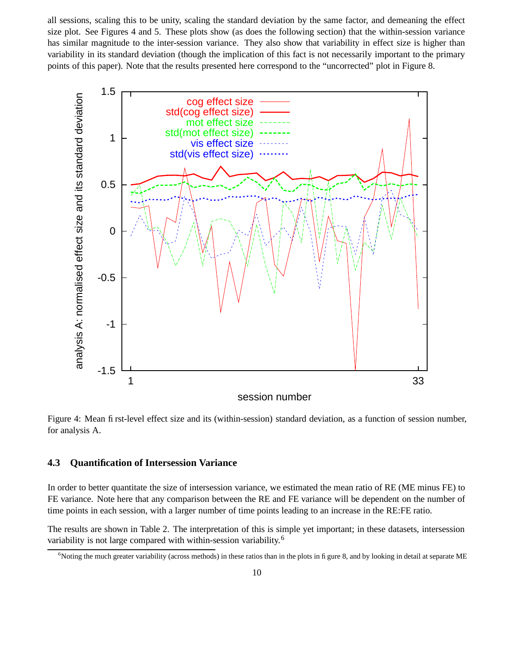all sessions, scaling this to be unity, scaling the standard deviation by the same factor, and demeaning the effect size plot. See Figures 4 and 5. These plots show (as does the following section) that the within-session variance has similar magnitude to the inter-session variance. They also show that variability in effect size is higher than variability in its standard deviation (though the implication of this fact is not necessarily important to the primary points of this paper). Note that the results presented here correspond to the "uncorrected" plot in Figure 8.



Figure 4: Mean first-level effect size and its (within-session) standard deviation, as a function of session number, for analysis A.

#### **4.3 Quantification of Intersession Variance**

In order to better quantitate the size of intersession variance, we estimated the mean ratio of RE (ME minus FE) to FE variance. Note here that any comparison between the RE and FE variance will be dependent on the number of time points in each session, with a larger number of time points leading to an increase in the RE:FE ratio.

The results are shown in Table 2. The interpretation of this is simple yet important; in these datasets, intersession variability is not large compared with within-session variability.<sup>6</sup>

<sup>&</sup>lt;sup>6</sup>Noting the much greater variability (across methods) in these ratios than in the plots in figure 8, and by looking in detail at separate ME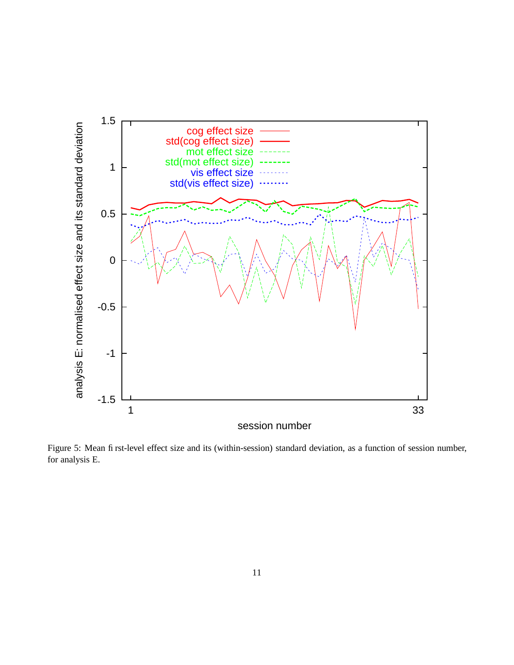

Figure 5: Mean first-level effect size and its (within-session) standard deviation, as a function of session number, for analysis E.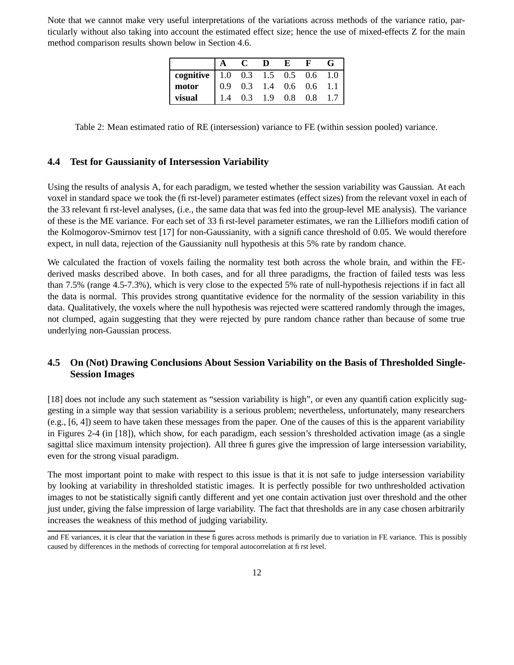Note that we cannot make very useful interpretations of the variations across methods of the variance ratio, particularly without also taking into account the estimated effect size; hence the use of mixed-effects Z for the main method comparison results shown below in Section 4.6.

|                                     |     | D | E |                                                                      |  |
|-------------------------------------|-----|---|---|----------------------------------------------------------------------|--|
| cognitive   1.0 0.3 1.5 0.5 0.6 1.0 |     |   |   |                                                                      |  |
| $\overline{\text{motor}}$           |     |   |   | $\begin{array}{ rrrr} 0.9 & 0.3 & 1.4 & 0.6 & 0.6 & 1.1 \end{array}$ |  |
| visual                              | 1.4 |   |   | 0.3 1.9 0.8 0.8 1.7                                                  |  |

Table 2: Mean estimated ratio of RE (intersession) variance to FE (within session pooled) variance.

#### **4.4 Test for Gaussianity of Intersession Variability**

Using the results of analysis A, for each paradigm, we tested whether the session variability was Gaussian. At each voxel in standard space we took the (first-level) parameter estimates (effect sizes) from the relevant voxel in each of the 33 relevant first-level analyses, (i.e., the same data that was fed into the group-level ME analysis). The variance of these is the ME variance. For each set of 33 first-level parameter estimates, we ran the Lilliefors modification of the Kolmogorov-Smirnov test [17] for non-Gaussianity, with a significance threshold of 0.05. We would therefore expect, in null data, rejection of the Gaussianity null hypothesis at this 5% rate by random chance.

We calculated the fraction of voxels failing the normality test both across the whole brain, and within the FEderived masks described above. In both cases, and for all three paradigms, the fraction of failed tests was less than 7.5% (range 4.5-7.3%), which is very close to the expected 5% rate of null-hypothesis rejections if in fact all the data is normal. This provides strong quantitative evidence for the normality of the session variability in this data. Qualitatively, the voxels where the null hypothesis was rejected were scattered randomly through the images, not clumped, again suggesting that they were rejected by pure random chance rather than because of some true underlying non-Gaussian process.

#### **4.5 On (Not) Drawing Conclusions About Session Variability on the Basis of Thresholded Single-Session Images**

[18] does not include any such statement as "session variability is high", or even any quantification explicitly suggesting in a simple way that session variability is a serious problem; nevertheless, unfortunately, many researchers (e.g., [6, 4]) seem to have taken these messages from the paper. One of the causes of this is the apparent variability in Figures 2-4 (in [18]), which show, for each paradigm, each session's thresholded activation image (as a single sagittal slice maximum intensity projection). All three figures give the impression of large intersession variability, even for the strong visual paradigm.

The most important point to make with respect to this issue is that it is not safe to judge intersession variability by looking at variability in thresholded statistic images. It is perfectly possible for two unthresholded activation images to not be statistically significantly different and yet one contain activation just over threshold and the other just under, giving the false impression of large variability. The fact that thresholds are in any case chosen arbitrarily increases the weakness of this method of judging variability.

and FE variances, it is clear that the variation in these figures across methods is primarily due to variation in FE variance. This is possibly caused by differences in the methods of correcting for temporal autocorrelation at first level.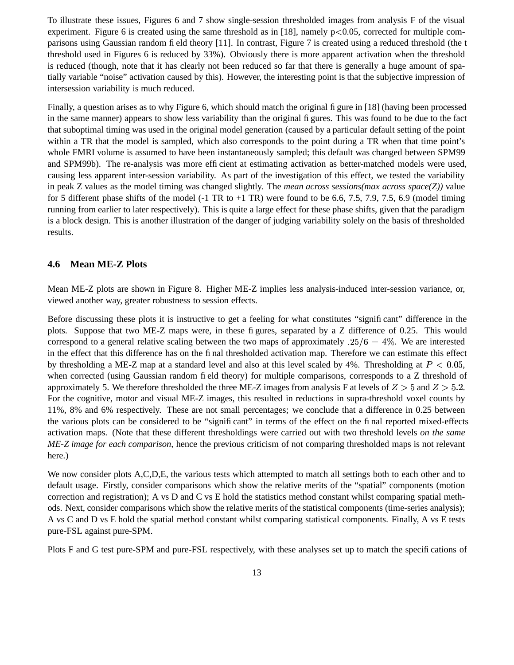To illustrate these issues, Figures 6 and 7 show single-session thresholded images from analysis F of the visual experiment. Figure 6 is created using the same threshold as in [18], namely  $p<0.05$ , corrected for multiple comparisons using Gaussian random field theory [11]. In contrast, Figure 7 is created using a reduced threshold (the t threshold used in Figures 6 is reduced by 33%). Obviously there is more apparent activation when the threshold is reduced (though, note that it has clearly not been reduced so far that there is generally a huge amount of spatially variable "noise" activation caused by this). However, the interesting point is that the subjective impression of intersession variability is much reduced.

Finally, a question arises as to why Figure 6, which should match the original figure in [18] (having been processed in the same manner) appears to show less variability than the original figures. This was found to be due to the fact that suboptimal timing was used in the original model generation (caused by a particular default setting of the point within a TR that the model is sampled, which also corresponds to the point during a TR when that time point's whole FMRI volume is assumed to have been instantaneously sampled; this default was changed between SPM99 and SPM99b). The re-analysis was more efficient at estimating activation as better-matched models were used, causing less apparent inter-session variability. As part of the investigation of this effect, we tested the variability in peak Z values as the model timing was changed slightly. The *mean across sessions(max across space(Z))* value for 5 different phase shifts of the model  $(-1 \text{ TR to } +1 \text{ TR})$  were found to be 6.6, 7.5, 7.9, 7.5, 6.9 (model timing running from earlier to later respectively). This is quite a large effect for these phase shifts, given that the paradigm is a block design. This is another illustration of the danger of judging variability solely on the basis of thresholded results.

#### **4.6 Mean ME-Z Plots**

Mean ME-Z plots are shown in Figure 8. Higher ME-Z implies less analysis-induced inter-session variance, or, viewed another way, greater robustness to session effects.

Before discussing these plots it is instructive to get a feeling for what constitutes "significant" difference in the plots. Suppose that two ME-Z maps were, in these figures, separated by a Z difference of 0.25. This would correspond to a general relative scaling between the two maps of approximately  $.25/6 = 4\%$ . We are interested in the effect that this difference has on the final thresholded activation map. Therefore we can estimate this effect by thresholding a ME-Z map at a standard level and also at this level scaled by 4%. Thresholding at  $P < 0.05$ , when corrected (using Gaussian random field theory) for multiple comparisons, corresponds to a Z threshold of approximately 5. We therefore thresholded the three ME-Z images from analysis F at levels of  $Z > 5$  and  $Z > 5.2$ . For the cognitive, motor and visual ME-Z images, this resulted in reductions in supra-threshold voxel counts by 11%, 8% and 6% respectively. These are not small percentages; we conclude that a difference in 0.25 between the various plots can be considered to be "significant" in terms of the effect on the final reported mixed-effects activation maps. (Note that these different thresholdings were carried out with two threshold levels *on the same ME-Z image for each comparison*, hence the previous criticism of not comparing thresholded maps is not relevant here.)

We now consider plots A,C,D,E, the various tests which attempted to match all settings both to each other and to default usage. Firstly, consider comparisons which show the relative merits of the "spatial" components (motion correction and registration); A vs D and C vs E hold the statistics method constant whilst comparing spatial methods. Next, consider comparisons which show the relative merits of the statistical components (time-series analysis); A vs C and D vs E hold the spatial method constant whilst comparing statistical components. Finally, A vs E tests pure-FSL against pure-SPM.

Plots F and G test pure-SPM and pure-FSL respectively, with these analyses set up to match the specifications of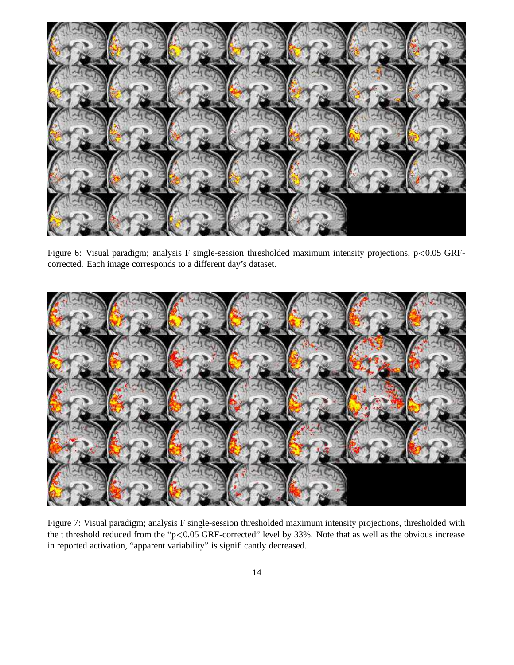

Figure 6: Visual paradigm; analysis F single-session thresholded maximum intensity projections, p<0.05 GRFcorrected. Each image corresponds to a different day's dataset.



Figure 7: Visual paradigm; analysis F single-session thresholded maximum intensity projections, thresholded with the t threshold reduced from the "p $< 0.05$  GRF-corrected" level by 33%. Note that as well as the obvious increase in reported activation, "apparent variability" is significantly decreased.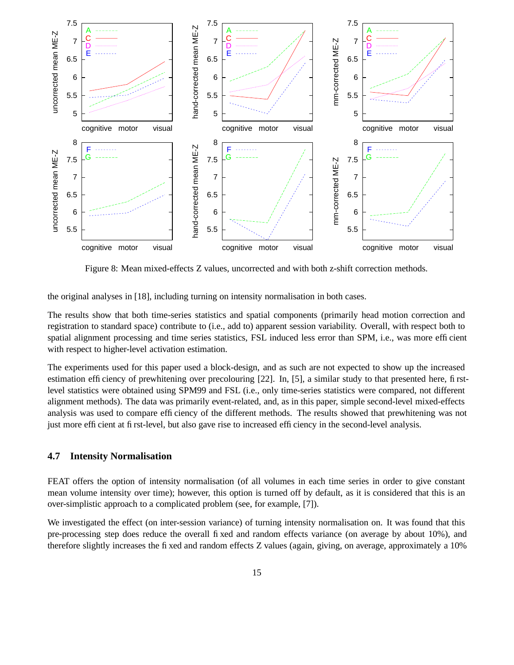

Figure 8: Mean mixed-effects Z values, uncorrected and with both z-shift correction methods.

the original analyses in [18], including turning on intensity normalisation in both cases.

The results show that both time-series statistics and spatial components (primarily head motion correction and registration to standard space) contribute to (i.e., add to) apparent session variability. Overall, with respect both to spatial alignment processing and time series statistics, FSL induced less error than SPM, i.e., was more efficient with respect to higher-level activation estimation.

The experiments used for this paper used a block-design, and as such are not expected to show up the increased estimation efficiency of prewhitening over precolouring [22]. In, [5], a similar study to that presented here, firstlevel statistics were obtained using SPM99 and FSL (i.e., only time-series statistics were compared, not different alignment methods). The data was primarily event-related, and, as in this paper, simple second-level mixed-effects analysis was used to compare efficiency of the different methods. The results showed that prewhitening was not just more efficient at first-level, but also gave rise to increased efficiency in the second-level analysis.

#### **4.7 Intensity Normalisation**

FEAT offers the option of intensity normalisation (of all volumes in each time series in order to give constant mean volume intensity over time); however, this option is turned off by default, as it is considered that this is an over-simplistic approach to a complicated problem (see, for example, [7]).

We investigated the effect (on inter-session variance) of turning intensity normalisation on. It was found that this pre-processing step does reduce the overall fixed and random effects variance (on average by about 10%), and therefore slightly increases the fixed and random effects Z values (again, giving, on average, approximately a 10%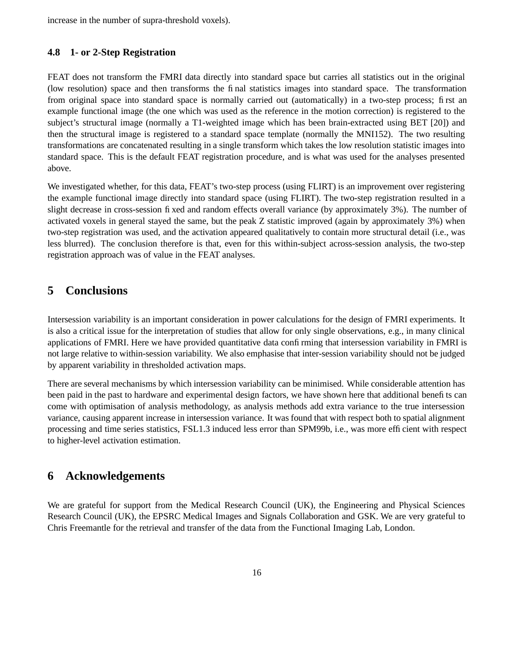increase in the number of supra-threshold voxels).

#### **4.8 1- or 2-Step Registration**

FEAT does not transform the FMRI data directly into standard space but carries all statistics out in the original (low resolution) space and then transforms the final statistics images into standard space. The transformation from original space into standard space is normally carried out (automatically) in a two-step process; first an example functional image (the one which was used as the reference in the motion correction) is registered to the subject's structural image (normally a T1-weighted image which has been brain-extracted using BET [20]) and then the structural image is registered to a standard space template (normally the MNI152). The two resulting transformations are concatenated resulting in a single transform which takes the low resolution statistic images into standard space. This is the default FEAT registration procedure, and is what was used for the analyses presented above.

We investigated whether, for this data, FEAT's two-step process (using FLIRT) is an improvement over registering the example functional image directly into standard space (using FLIRT). The two-step registration resulted in a slight decrease in cross-session fixed and random effects overall variance (by approximately 3%). The number of activated voxels in general stayed the same, but the peak Z statistic improved (again by approximately 3%) when two-step registration was used, and the activation appeared qualitatively to contain more structural detail (i.e., was less blurred). The conclusion therefore is that, even for this within-subject across-session analysis, the two-step registration approach was of value in the FEAT analyses.

## **5 Conclusions**

Intersession variability is an important consideration in power calculations for the design of FMRI experiments. It is also a critical issue for the interpretation of studies that allow for only single observations, e.g., in many clinical applications of FMRI. Here we have provided quantitative data confirming that intersession variability in FMRI is not large relative to within-session variability. We also emphasise that inter-session variability should not be judged by apparent variability in thresholded activation maps.

There are several mechanisms by which intersession variability can be minimised. While considerable attention has been paid in the past to hardware and experimental design factors, we have shown here that additional benefits can come with optimisation of analysis methodology, as analysis methods add extra variance to the true intersession variance, causing apparent increase in intersession variance. It was found that with respect both to spatial alignment processing and time series statistics, FSL1.3 induced less error than SPM99b, i.e., was more efficient with respect to higher-level activation estimation.

# **6 Acknowledgements**

We are grateful for support from the Medical Research Council (UK), the Engineering and Physical Sciences Research Council (UK), the EPSRC Medical Images and Signals Collaboration and GSK. We are very grateful to Chris Freemantle for the retrieval and transfer of the data from the Functional Imaging Lab, London.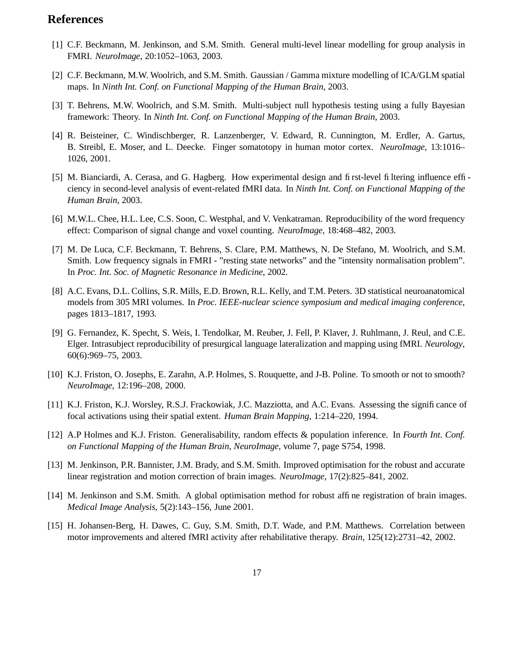# **References**

- [1] C.F. Beckmann, M. Jenkinson, and S.M. Smith. General multi-level linear modelling for group analysis in FMRI. *NeuroImage*, 20:1052–1063, 2003.
- [2] C.F. Beckmann, M.W. Woolrich, and S.M. Smith. Gaussian / Gamma mixture modelling of ICA/GLM spatial maps. In *Ninth Int. Conf. on Functional Mapping of the Human Brain*, 2003.
- [3] T. Behrens, M.W. Woolrich, and S.M. Smith. Multi-subject null hypothesis testing using a fully Bayesian framework: Theory. In *Ninth Int. Conf. on Functional Mapping of the Human Brain*, 2003.
- [4] R. Beisteiner, C. Windischberger, R. Lanzenberger, V. Edward, R. Cunnington, M. Erdler, A. Gartus, B. Streibl, E. Moser, and L. Deecke. Finger somatotopy in human motor cortex. *NeuroImage*, 13:1016– 1026, 2001.
- [5] M. Bianciardi, A. Cerasa, and G. Hagberg. How experimental design and first-level filtering influence efficiency in second-level analysis of event-related fMRI data. In *Ninth Int. Conf. on Functional Mapping of the Human Brain*, 2003.
- [6] M.W.L. Chee, H.L. Lee, C.S. Soon, C. Westphal, and V. Venkatraman. Reproducibility of the word frequency effect: Comparison of signal change and voxel counting. *NeuroImage*, 18:468–482, 2003.
- [7] M. De Luca, C.F. Beckmann, T. Behrens, S. Clare, P.M. Matthews, N. De Stefano, M. Woolrich, and S.M. Smith. Low frequency signals in FMRI - "resting state networks" and the "intensity normalisation problem". In *Proc. Int. Soc. of Magnetic Resonance in Medicine*, 2002.
- [8] A.C. Evans, D.L. Collins, S.R. Mills, E.D. Brown, R.L. Kelly, and T.M. Peters. 3D statistical neuroanatomical models from 305 MRI volumes. In *Proc. IEEE-nuclear science symposium and medical imaging conference*, pages 1813–1817, 1993.
- [9] G. Fernandez, K. Specht, S. Weis, I. Tendolkar, M. Reuber, J. Fell, P. Klaver, J. Ruhlmann, J. Reul, and C.E. Elger. Intrasubject reproducibility of presurgical language lateralization and mapping using fMRI. *Neurology*, 60(6):969–75, 2003.
- [10] K.J. Friston, O. Josephs, E. Zarahn, A.P. Holmes, S. Rouquette, and J-B. Poline. To smooth or not to smooth? *NeuroImage*, 12:196–208, 2000.
- [11] K.J. Friston, K.J. Worsley, R.S.J. Frackowiak, J.C. Mazziotta, and A.C. Evans. Assessing the significance of focal activations using their spatial extent. *Human Brain Mapping*, 1:214–220, 1994.
- [12] A.P Holmes and K.J. Friston. Generalisability, random effects & population inference. In *Fourth Int. Conf. on Functional Mapping of the Human Brain, NeuroImage*, volume 7, page S754, 1998.
- [13] M. Jenkinson, P.R. Bannister, J.M. Brady, and S.M. Smith. Improved optimisation for the robust and accurate linear registration and motion correction of brain images. *NeuroImage*, 17(2):825–841, 2002.
- [14] M. Jenkinson and S.M. Smith. A global optimisation method for robust affine registration of brain images. *Medical Image Analysis*, 5(2):143–156, June 2001.
- [15] H. Johansen-Berg, H. Dawes, C. Guy, S.M. Smith, D.T. Wade, and P.M. Matthews. Correlation between motor improvements and altered fMRI activity after rehabilitative therapy. *Brain*, 125(12):2731–42, 2002.